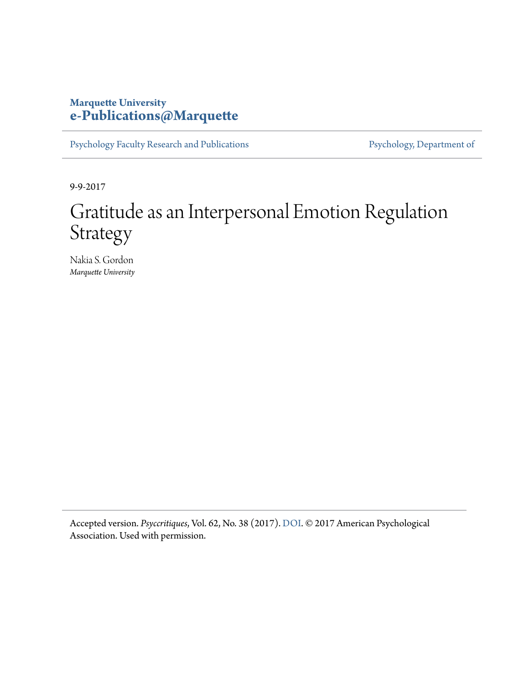### **Marquette University [e-Publications@Marquette](https://epublications.marquette.edu/)**

[Psychology Faculty Research and Publications](https://epublications.marquette.edu/psych_fac) [Psychology, Department of](https://epublications.marquette.edu/psychology)

9-9-2017

## Gratitude as an Interpersonal Emotion Regulation Strategy

Nakia S. Gordon *Marquette University*

Accepted version. *Psyccritiques*, Vol. 62, No. 38 (2017). [DOI.](http://dx.doi.org/10.1037/a0041031) © 2017 American Psychological Association. Used with permission.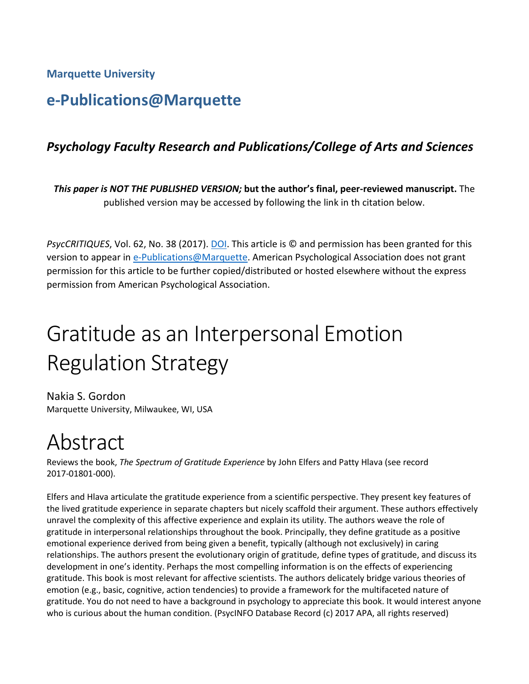**Marquette University**

### **e-Publications@Marquette**

### *Psychology Faculty Research and Publications/College of Arts and Sciences*

*This paper is NOT THE PUBLISHED VERSION;* **but the author's final, peer-reviewed manuscript.** The published version may be accessed by following the link in th citation below.

*PsycCRITIQUES*, Vol. 62, No. 38 (2017). **DOI.** This article is © and permission has been granted for this version to appear in [e-Publications@Marquette.](http://epublications.marquette.edu/) American Psychological Association does not grant permission for this article to be further copied/distributed or hosted elsewhere without the express permission from American Psychological Association.

# Gratitude as an Interpersonal Emotion Regulation Strategy

Nakia S. Gordon Marquette University, Milwaukee, WI, USA

## Abstract

Reviews the book, *The Spectrum of Gratitude Experience* by John Elfers and Patty Hlava (see record 2017-01801-000).

Elfers and Hlava articulate the gratitude experience from a scientific perspective. They present key features of the lived gratitude experience in separate chapters but nicely scaffold their argument. These authors effectively unravel the complexity of this affective experience and explain its utility. The authors weave the role of gratitude in interpersonal relationships throughout the book. Principally, they define gratitude as a positive emotional experience derived from being given a benefit, typically (although not exclusively) in caring relationships. The authors present the evolutionary origin of gratitude, define types of gratitude, and discuss its development in one's identity. Perhaps the most compelling information is on the effects of experiencing gratitude. This book is most relevant for affective scientists. The authors delicately bridge various theories of emotion (e.g., basic, cognitive, action tendencies) to provide a framework for the multifaceted nature of gratitude. You do not need to have a background in psychology to appreciate this book. It would interest anyone who is curious about the human condition. (PsycINFO Database Record (c) 2017 APA, all rights reserved)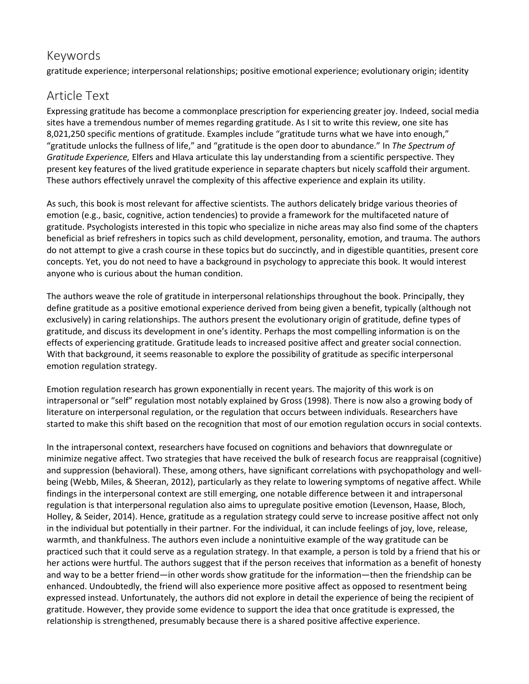### Keywords

gratitude experience; interpersonal relationships; positive emotional experience; evolutionary origin; identity

### Article Text

Expressing gratitude has become a commonplace prescription for experiencing greater joy. Indeed, social media sites have a tremendous number of memes regarding gratitude. As I sit to write this review, one site has 8,021,250 specific mentions of gratitude. Examples include "gratitude turns what we have into enough," "gratitude unlocks the fullness of life," and "gratitude is the open door to abundance." In *The Spectrum of Gratitude Experience,* Elfers and Hlava articulate this lay understanding from a scientific perspective. They present key features of the lived gratitude experience in separate chapters but nicely scaffold their argument. These authors effectively unravel the complexity of this affective experience and explain its utility.

As such, this book is most relevant for affective scientists. The authors delicately bridge various theories of emotion (e.g., basic, cognitive, action tendencies) to provide a framework for the multifaceted nature of gratitude. Psychologists interested in this topic who specialize in niche areas may also find some of the chapters beneficial as brief refreshers in topics such as child development, personality, emotion, and trauma. The authors do not attempt to give a crash course in these topics but do succinctly, and in digestible quantities, present core concepts. Yet, you do not need to have a background in psychology to appreciate this book. It would interest anyone who is curious about the human condition.

The authors weave the role of gratitude in interpersonal relationships throughout the book. Principally, they define gratitude as a positive emotional experience derived from being given a benefit, typically (although not exclusively) in caring relationships. The authors present the evolutionary origin of gratitude, define types of gratitude, and discuss its development in one's identity. Perhaps the most compelling information is on the effects of experiencing gratitude. Gratitude leads to increased positive affect and greater social connection. With that background, it seems reasonable to explore the possibility of gratitude as specific interpersonal emotion regulation strategy.

Emotion regulation research has grown exponentially in recent years. The majority of this work is on intrapersonal or "self" regulation most notably explained by Gross (1998). There is now also a growing body of literature on interpersonal regulation, or the regulation that occurs between individuals. Researchers have started to make this shift based on the recognition that most of our emotion regulation occurs in social contexts.

In the intrapersonal context, researchers have focused on cognitions and behaviors that downregulate or minimize negative affect. Two strategies that have received the bulk of research focus are reappraisal (cognitive) and suppression (behavioral). These, among others, have significant correlations with psychopathology and wellbeing (Webb, Miles, & Sheeran, 2012), particularly as they relate to lowering symptoms of negative affect. While findings in the interpersonal context are still emerging, one notable difference between it and intrapersonal regulation is that interpersonal regulation also aims to upregulate positive emotion (Levenson, Haase, Bloch, Holley, & Seider, 2014). Hence, gratitude as a regulation strategy could serve to increase positive affect not only in the individual but potentially in their partner. For the individual, it can include feelings of joy, love, release, warmth, and thankfulness. The authors even include a nonintuitive example of the way gratitude can be practiced such that it could serve as a regulation strategy. In that example, a person is told by a friend that his or her actions were hurtful. The authors suggest that if the person receives that information as a benefit of honesty and way to be a better friend—in other words show gratitude for the information—then the friendship can be enhanced. Undoubtedly, the friend will also experience more positive affect as opposed to resentment being expressed instead. Unfortunately, the authors did not explore in detail the experience of being the recipient of gratitude. However, they provide some evidence to support the idea that once gratitude is expressed, the relationship is strengthened, presumably because there is a shared positive affective experience.